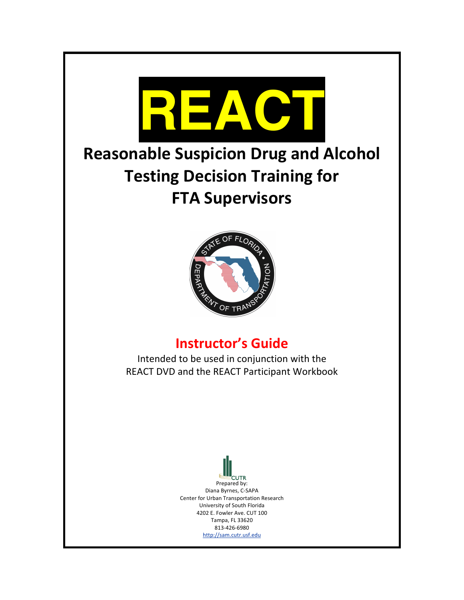

# **Reasonable Suspicion Drug and Alcohol Testing Decision Training for FTA Supervisors**



# **Instructor's Guide**

Intended to be used in conjunction with the REACT DVD and the REACT Participant Workbook

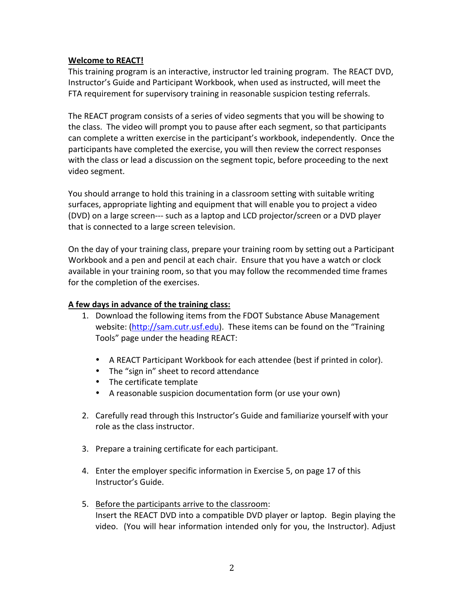#### **Welcome to REACT!**

This training program is an interactive, instructor led training program. The REACT DVD, Instructor's Guide and Participant Workbook, when used as instructed, will meet the FTA requirement for supervisory training in reasonable suspicion testing referrals.

The REACT program consists of a series of video segments that you will be showing to the class. The video will prompt you to pause after each segment, so that participants can complete a written exercise in the participant's workbook, independently. Once the participants have completed the exercise, you will then review the correct responses with the class or lead a discussion on the segment topic, before proceeding to the next video segment.

You should arrange to hold this training in a classroom setting with suitable writing surfaces, appropriate lighting and equipment that will enable you to project a video (DVD) on a large screen--- such as a laptop and LCD projector/screen or a DVD player that is connected to a large screen television.

On the day of your training class, prepare your training room by setting out a Participant Workbook and a pen and pencil at each chair. Ensure that you have a watch or clock available in your training room, so that you may follow the recommended time frames for the completion of the exercises.

#### A few days in advance of the training class:

- 1. Download the following items from the FDOT Substance Abuse Management website: (http://sam.cutr.usf.edu). These items can be found on the "Training Tools" page under the heading REACT:
	- A REACT Participant Workbook for each attendee (best if printed in color).
	- The "sign in" sheet to record attendance
	- The certificate template
	- A reasonable suspicion documentation form (or use your own)
- 2. Carefully read through this Instructor's Guide and familiarize yourself with your role as the class instructor.
- 3. Prepare a training certificate for each participant.
- 4. Enter the employer specific information in Exercise 5, on page 17 of this Instructor's Guide.
- 5. Before the participants arrive to the classroom: Insert the REACT DVD into a compatible DVD player or laptop. Begin playing the video. (You will hear information intended only for you, the Instructor). Adjust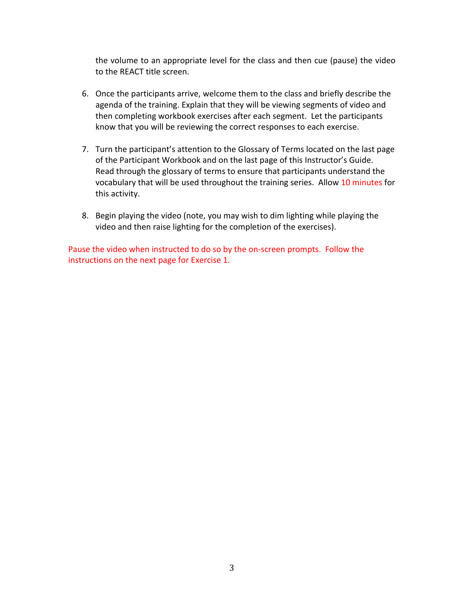the volume to an appropriate level for the class and then cue (pause) the video to the REACT title screen.

- 6. Once the participants arrive, welcome them to the class and briefly describe the agenda of the training. Explain that they will be viewing segments of video and then completing workbook exercises after each segment. Let the participants know that you will be reviewing the correct responses to each exercise.
- 7. Turn the participant's attention to the Glossary of Terms located on the last page of the Participant Workbook and on the last page of this Instructor's Guide. Read through the glossary of terms to ensure that participants understand the vocabulary that will be used throughout the training series. Allow 10 minutes for this activity.
- 8. Begin playing the video (note, you may wish to dim lighting while playing the video and then raise lighting for the completion of the exercises).

Pause the video when instructed to do so by the on-screen prompts. Follow the instructions on the next page for Exercise 1.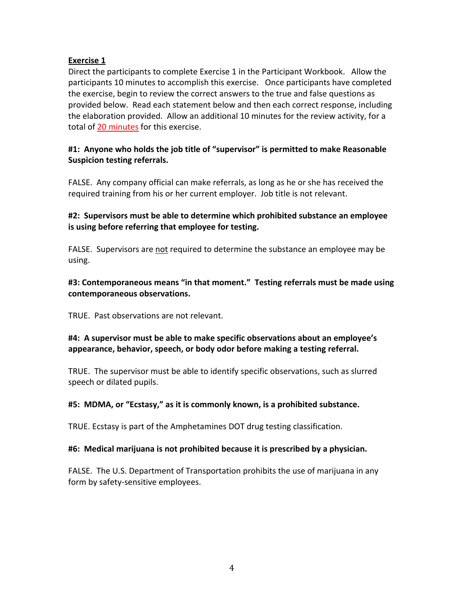Direct the participants to complete Exercise 1 in the Participant Workbook. Allow the participants 10 minutes to accomplish this exercise. Once participants have completed the exercise, begin to review the correct answers to the true and false questions as provided below. Read each statement below and then each correct response, including the elaboration provided. Allow an additional 10 minutes for the review activity, for a total of 20 minutes for this exercise.

#### #1: Anyone who holds the job title of "supervisor" is permitted to make Reasonable **Suspicion testing referrals.**

FALSE. Any company official can make referrals, as long as he or she has received the required training from his or her current employer. Job title is not relevant.

#### **#2:))Supervisors)must)be)able)to)determine)which)prohibited)substance)an)employee)** is using before referring that employee for testing.

FALSE. Supervisors are not required to determine the substance an employee may be using.

#### #3: Contemporaneous means "in that moment." Testing referrals must be made using **contemporaneous)observations.**

TRUE. Past observations are not relevant.

#### #4: A supervisor must be able to make specific observations about an employee's appearance, behavior, speech, or body odor before making a testing referral.

TRUE. The supervisor must be able to identify specific observations, such as slurred speech or dilated pupils.

#### #5: MDMA, or "Ecstasy," as it is commonly known, is a prohibited substance.

TRUE. Ecstasy is part of the Amphetamines DOT drug testing classification.

#### **#6:))Medical)marijuana)is)not)prohibited)because)it)is)prescribed)by)a)physician.**

FALSE. The U.S. Department of Transportation prohibits the use of marijuana in any form by safety-sensitive employees.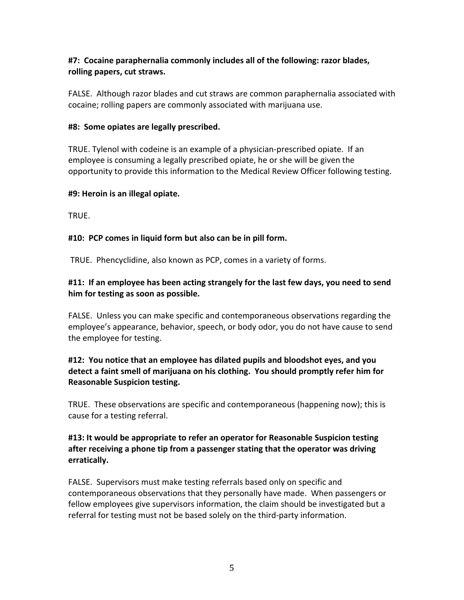#### #7: Cocaine paraphernalia commonly includes all of the following: razor blades, rolling papers, cut straws.

FALSE. Although razor blades and cut straws are common paraphernalia associated with cocaine; rolling papers are commonly associated with marijuana use.

#### **#8: Some opiates are legally prescribed.**

TRUE. Tylenol with codeine is an example of a physician-prescribed opiate. If an employee is consuming a legally prescribed opiate, he or she will be given the opportunity to provide this information to the Medical Review Officer following testing.

#### **#9:)Heroin)is)an)illegal)opiate.**

TRUE.

#### #10: PCP comes in liquid form but also can be in pill form.

TRUE. Phencyclidine, also known as PCP, comes in a variety of forms.

# #11: If an employee has been acting strangely for the last few days, you need to send him for testing as soon as possible.

FALSE. Unless you can make specific and contemporaneous observations regarding the employee's appearance, behavior, speech, or body odor, you do not have cause to send the employee for testing.

# **#12:))You)notice)that)an)employee)has)dilated)pupils)and)bloodshot)eyes,)and)you)** detect a faint smell of marijuana on his clothing. You should promptly refer him for **Reasonable Suspicion testing.**

TRUE. These observations are specific and contemporaneous (happening now); this is cause for a testing referral.

# **#13:)It)would)be)appropriate)to)refer)an)operator)for)Reasonable)Suspicion)testing)** after receiving a phone tip from a passenger stating that the operator was driving **erratically.**

FALSE. Supervisors must make testing referrals based only on specific and contemporaneous observations that they personally have made. When passengers or fellow employees give supervisors information, the claim should be investigated but a referral for testing must not be based solely on the third-party information.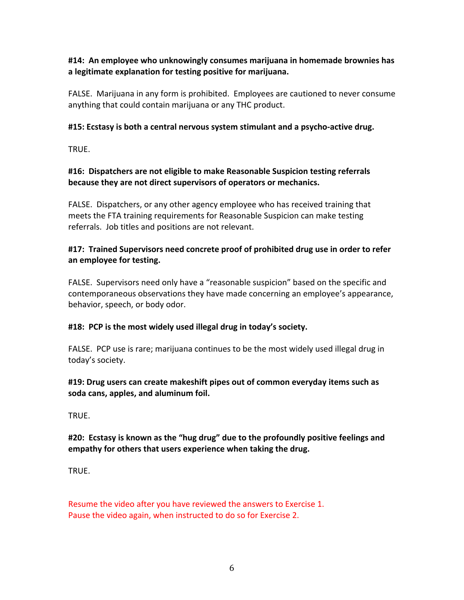#### **#14:))An)employee)who)unknowingly)consumes)marijuana)in)homemade)brownies)has) a)legitimate)explanation)for)testing)positive)for)marijuana.**

FALSE. Marijuana in any form is prohibited. Employees are cautioned to never consume anything that could contain marijuana or any THC product.

#### **#15:)Ecstasy)is)both)a)central)nervous)system)stimulant)and)a)psycho]active)drug.**

TRUE.

#### #16: Dispatchers are not eligible to make Reasonable Suspicion testing referrals because they are not direct supervisors of operators or mechanics.

FALSE. Dispatchers, or any other agency employee who has received training that meets the FTA training requirements for Reasonable Suspicion can make testing referrals. Job titles and positions are not relevant.

#### #17: Trained Supervisors need concrete proof of prohibited drug use in order to refer an employee for testing.

FALSE. Supervisors need only have a "reasonable suspicion" based on the specific and contemporaneous observations they have made concerning an employee's appearance, behavior, speech, or body odor.

#### #18: PCP is the most widely used illegal drug in today's society.

FALSE. PCP use is rare; marijuana continues to be the most widely used illegal drug in today's society.

#### #19: Drug users can create makeshift pipes out of common everyday items such as soda cans, apples, and aluminum foil.

TRUE.!

# #20: Ecstasy is known as the "hug drug" due to the profoundly positive feelings and empathy for others that users experience when taking the drug.

TRUE.

Resume the video after you have reviewed the answers to Exercise 1. Pause the video again, when instructed to do so for Exercise 2.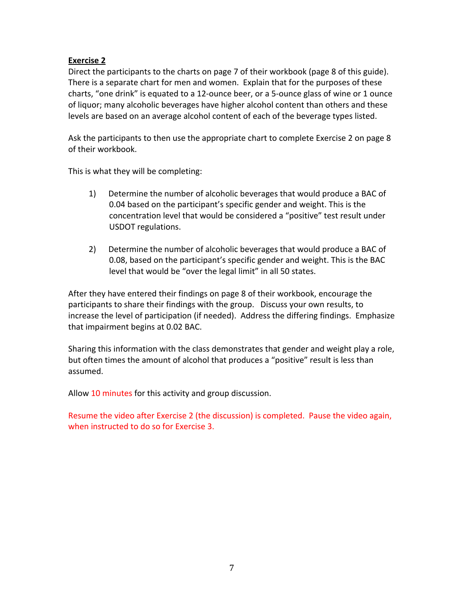Direct the participants to the charts on page 7 of their workbook (page 8 of this guide). There is a separate chart for men and women. Explain that for the purposes of these charts, "one drink" is equated to a 12-ounce beer, or a 5-ounce glass of wine or 1 ounce of liquor; many alcoholic beverages have higher alcohol content than others and these levels are based on an average alcohol content of each of the beverage types listed.

Ask the participants to then use the appropriate chart to complete Exercise 2 on page 8 of their workbook.

This is what they will be completing:

- 1) Determine the number of alcoholic beverages that would produce a BAC of 0.04 based on the participant's specific gender and weight. This is the concentration level that would be considered a "positive" test result under USDOT regulations.
- 2) Determine the number of alcoholic beverages that would produce a BAC of 0.08, based on the participant's specific gender and weight. This is the BAC level that would be "over the legal limit" in all 50 states.

After they have entered their findings on page 8 of their workbook, encourage the participants to share their findings with the group. Discuss your own results, to increase the level of participation (if needed). Address the differing findings. Emphasize that impairment begins at 0.02 BAC.

Sharing this information with the class demonstrates that gender and weight play a role, but often times the amount of alcohol that produces a "positive" result is less than assumed.

Allow 10 minutes for this activity and group discussion.

Resume the video after Exercise 2 (the discussion) is completed. Pause the video again, when instructed to do so for Exercise 3.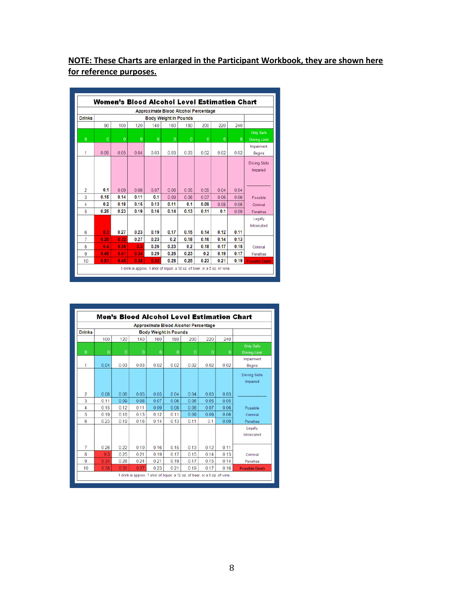# **NOTE: These Charts are enlarged in the Participant Workbook, they are shown here** for reference purposes.

|                | Women's Blood Alcohol Level Estimation Chart |      |              |                                             |          |          |          |              |          |                       |
|----------------|----------------------------------------------|------|--------------|---------------------------------------------|----------|----------|----------|--------------|----------|-----------------------|
|                |                                              |      |              | <b>Approximate Blood Alcohol Percentage</b> |          |          |          |              |          |                       |
| <b>Drinks</b>  | <b>Body Weight in Pounds</b>                 |      |              |                                             |          |          |          |              |          |                       |
|                | 90                                           | 100  | 120          | 140                                         | 160      | 180      | 200      | 220          | 240      |                       |
|                |                                              |      |              |                                             |          |          |          |              |          | <b>Only Safe</b>      |
| $\mathbf{0}$   | $\bf{0}$                                     | 0    | $\mathbf{0}$ | $\bf{0}$                                    | $\bf{0}$ | $\bf{0}$ | $\bf{0}$ | $\mathbf{0}$ | $\bf{0}$ | <b>Driving Limit</b>  |
|                |                                              |      |              |                                             |          |          |          |              |          | Impairment            |
| 1              | 0.05                                         | 0.05 | 0.04         | 0.03                                        | 0.03     | 0.03     | 0.02     | 0.02         | 0.02     | Begins                |
|                |                                              |      |              |                                             |          |          |          |              |          | <b>Driving Skills</b> |
|                |                                              |      |              |                                             |          |          |          |              |          | Impaired              |
|                |                                              |      |              |                                             |          |          |          |              |          |                       |
|                |                                              |      |              |                                             |          |          |          |              |          |                       |
| $\overline{2}$ | 0.1                                          | 0.09 | 0.08         | 0.07                                        | 0.06     | 0.05     | 0.05     | 0.04         | 0.04     |                       |
| 3              | 0.15                                         | 0.14 | 0.11         | 0.1                                         | 0.09     | 0.08     | 0.07     | 0.06         | 0.06     | Possible              |
| 4              | 0.2                                          | 0.18 | 0.15         | 0.13                                        | 0.11     | 0.1      | 0.09     | 0.08         | 0.08     | Criminal              |
| 5              | 0.25                                         | 0.23 | 0.19         | 0.16                                        | 0.14     | 0.13     | 0.11     | 0.1          | 0.09     | Penalties             |
|                |                                              |      |              |                                             |          |          |          |              |          | Legally               |
|                |                                              |      |              |                                             |          |          |          |              |          | Intoxicated           |
| 6              | 0.3                                          | 0.27 | 0.23         | 0.19                                        | 0.17     | 0.15     | 0.14     | 0.12         | 0.11     |                       |
| 7              | 0.35                                         | 0.32 | 0.27         | 0.23                                        | 0.2      | 0.18     | 0.16     | 0.14         | 0.13     |                       |
| 8              | 0.4                                          | 0.36 | 0.3          | 0.26                                        | 0.23     | 0.2      | 0.18     | 0.17         | 0.15     | Criminal              |
| 9              | 0.45                                         | 0.41 | 0.34         | 0.29                                        | 0.26     | 0.23     | 0.2      | 0.19         | 0.17     | Penalties             |
| 10             | 0.51                                         | 0.45 | 0.38         | 0.32                                        | 0.28     | 0.25     | 0.23     | 0.21         | 0.19     | <b>Possible Death</b> |

|                                          |                              |          | <b>Approximate Blood Alcohol Percentage</b> |                |              |              |              |               |                |
|------------------------------------------|------------------------------|----------|---------------------------------------------|----------------|--------------|--------------|--------------|---------------|----------------|
|                                          | <b>Body Weight in Pounds</b> |          |                                             |                |              |              |              | <b>Drinks</b> |                |
|                                          | 240                          | 220      | 200                                         | 180            | 160          | 140          | 120          | 100           |                |
| <b>Only Safe</b><br><b>Driving Limit</b> | $\bf{0}$                     | $\theta$ | $\theta$                                    | $\overline{0}$ | $\mathbf{0}$ | $\mathbf{0}$ | $\mathbf{0}$ | $\theta$      | $\overline{0}$ |
| Impairment<br><b>Begins</b>              | 0.02                         | 0.02     | 0.02                                        | 0.02           | 0.02         | 0.03         | 0.03         | 0.04          | 1              |
| <b>Driving Skills</b><br>Impaired        |                              |          |                                             |                |              |              |              |               |                |
|                                          | 0.03                         | 0.03     | 0.04                                        | 0.04           | 0.05         | 0.05         | 0.06         | 0.08          | 2              |
|                                          | 0.05                         | 0.05     | 0.06                                        | 0.06           | 0.07         | 0.08         | 0.09         | 0.11          | 3              |
| Possible                                 | 0.06                         | 0.07     | 0.08                                        | 0.08           | 0.09         | 0.11         | 0.12         | 0.15          | 4              |
| Criminal                                 | 0.08                         | 0.09     | 0.09                                        | 0.11           | 0.12         | 0.13         | 0.16         | 0.19          | 5              |
| Penalties                                | 0.09                         | 0.1      | 0.11                                        | 0.13           | 0.14         | 0.16         | 0.19         | 0.23          | 6              |
| Legally<br>Intoxicated                   |                              |          |                                             |                |              |              |              |               |                |
|                                          | 0.11                         | 0.12     | 0.13                                        | 0.15           | 0.16         | 0.19         | 0.22         | 0.26          | $\overline{7}$ |
| Criminal                                 | 0.13                         | 0.14     | 0.15                                        | 0.17           | 0.19         | 0.21         | 0.25         | 0.3           | 8              |
| Penalties                                | 0.14                         | 0.15     | 0.17                                        | 0.19           | 0.21         | 0.24         | 0.28         | 0.34          | 9              |
| <b>Possible Death</b>                    | 0.16                         | 0.17     | 0.19                                        | 0.21           | 0.23         | 0.27         | 0.31         | 0.38          | 10             |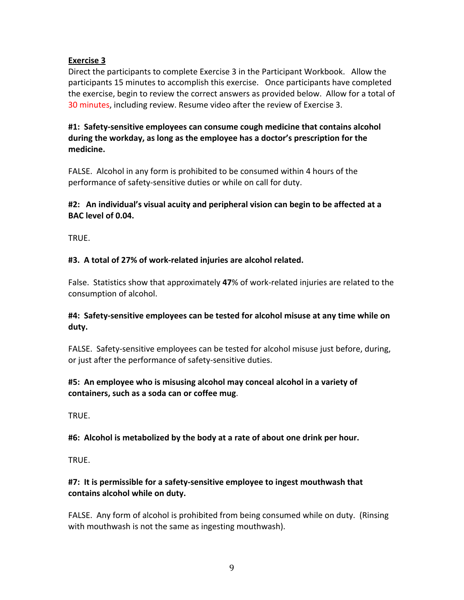Direct the participants to complete Exercise 3 in the Participant Workbook. Allow the participants 15 minutes to accomplish this exercise. Once participants have completed the exercise, begin to review the correct answers as provided below. Allow for a total of 30 minutes, including review. Resume video after the review of Exercise 3.

#### #1: Safety-sensitive employees can consume cough medicine that contains alcohol during the workday, as long as the employee has a doctor's prescription for the **medicine.**

FALSE. Alcohol in any form is prohibited to be consumed within 4 hours of the performance of safety-sensitive duties or while on call for duty.

#### #2: An individual's visual acuity and peripheral vision can begin to be affected at a BAC level of 0.04.

TRUE.!

# #3. A total of 27% of work-related injuries are alcohol related.

False. Statistics show that approximately 47% of work-related injuries are related to the consumption of alcohol.

# #4: Safety-sensitive employees can be tested for alcohol misuse at any time while on **duty.**

FALSE. Safety-sensitive employees can be tested for alcohol misuse just before, during, or just after the performance of safety-sensitive duties.

# #5: An employee who is misusing alcohol may conceal alcohol in a variety of **containers,)such)as)a)soda)can)or)coffee)mug**.

TRUE.!

#6: Alcohol is metabolized by the body at a rate of about one drink per hour.

TRUE.

# #7: It is permissible for a safety-sensitive employee to ingest mouthwash that contains alcohol while on duty.

FALSE. Any form of alcohol is prohibited from being consumed while on duty. (Rinsing with mouthwash is not the same as ingesting mouthwash).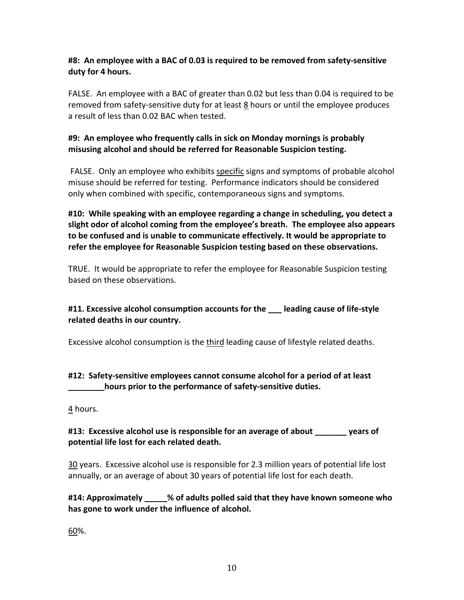#### #8: An employee with a BAC of 0.03 is required to be removed from safety-sensitive duty for 4 hours.

FALSE. An employee with a BAC of greater than 0.02 but less than 0.04 is required to be removed from safety-sensitive duty for at least 8 hours or until the employee produces a result of less than 0.02 BAC when tested.

# #9: An employee who frequently calls in sick on Monday mornings is probably misusing alcohol and should be referred for Reasonable Suspicion testing.

EALSE. Only an employee who exhibits specific signs and symptoms of probable alcohol misuse should be referred for testing. Performance indicators should be considered only when combined with specific, contemporaneous signs and symptoms.

**#10:))While)speaking)with)an)employee)regarding)a)change)in)scheduling,)you)detect)a)** slight odor of alcohol coming from the employee's breath. The employee also appears to be confused and is unable to communicate effectively. It would be appropriate to refer the employee for Reasonable Suspicion testing based on these observations.

TRUE. It would be appropriate to refer the employee for Reasonable Suspicion testing based on these observations.

# #11. Excessive alcohol consumption accounts for the leading cause of life-style related deaths in our country.

Excessive alcohol consumption is the third leading cause of lifestyle related deaths.

# #12: Safety-sensitive employees cannot consume alcohol for a period of at least hours prior to the performance of safety-sensitive duties.

4 hours.

# #13: Excessive alcohol use is responsible for an average of about \_\_\_\_\_\_\_\_ years of potential life lost for each related death.

30 years. Excessive alcohol use is responsible for 2.3 million years of potential life lost annually, or an average of about 30 years of potential life lost for each death.

# **#14:)Approximately)\_\_\_\_\_%)of)adults)polled)said)that)they)have)known)someone)who)** has gone to work under the influence of alcohol.

60%.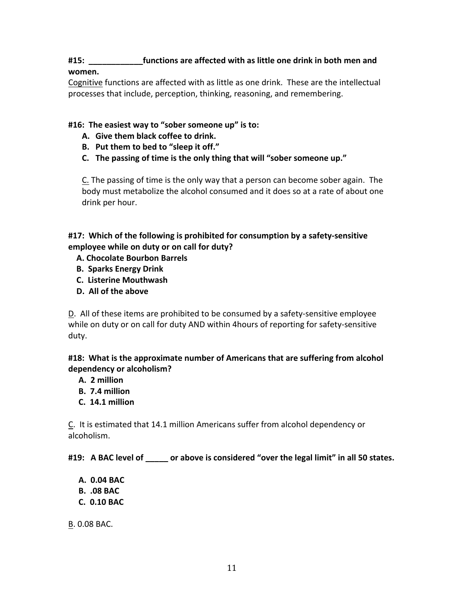# #15: **\eppertify Left Excited** with as little one drink in both men and **women.**

Cognitive functions are affected with as little as one drink. These are the intellectual processes that include, perception, thinking, reasoning, and remembering.

# #16: The easiest way to "sober someone up" is to:

- **A. Give)them)black)coffee)to)drink.**
- **B.** Put them to bed to "sleep it off."
- **C.** The passing of time is the only thing that will "sober someone up."

C. The passing of time is the only way that a person can become sober again. The body must metabolize the alcohol consumed and it does so at a rate of about one drink per hour.

#17: Which of the following is prohibited for consumption by a safety-sensitive employee while on duty or on call for duty?

- **))))A.)Chocolate)Bourbon)Barrels)**
- **))))B.))Sparks)Energy)Drink)**
- **))))C.))Listerine)Mouthwash**
- **))))D.))All)of)the)above**

D. All of these items are prohibited to be consumed by a safety-sensitive employee while on duty or on call for duty AND within 4hours of reporting for safety-sensitive duty.

#### #18: What is the approximate number of Americans that are suffering from alcohol dependency or alcoholism?

- **)))))A.))2)million**
- **)))))B.))7.4)million**
- **)))))C.))14.1)million**

C. It is estimated that 14.1 million Americans suffer from alcohol dependency or alcoholism.

#19: A BAC level of \_\_\_\_\_ or above is considered "over the legal limit" in all 50 states.

- **)))))A.))0.04)BAC**
- **)))))B.)).08)BAC**
- **)))))C.))0.10)BAC**

**B. 0.08 BAC.**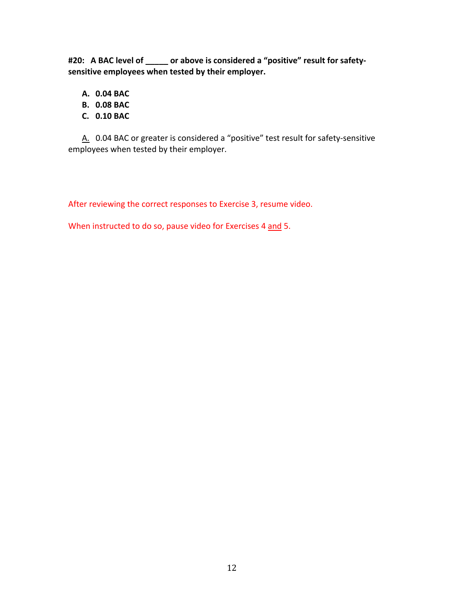#20: A BAC level of \_\_\_\_\_ or above is considered a "positive" result for safetysensitive employees when tested by their employer.

- **A. 0.04)BAC**
- **B. 0.08)BAC**
- **C. 0.10)BAC**

A. 0.04 BAC or greater is considered a "positive" test result for safety-sensitive employees when tested by their employer.

After reviewing the correct responses to Exercise 3, resume video.

When instructed to do so, pause video for Exercises 4 and 5.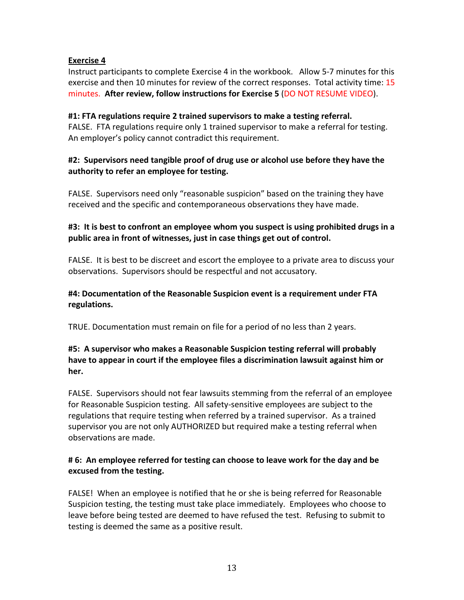Instruct participants to complete Exercise 4 in the workbook. Allow 5-7 minutes for this exercise and then 10 minutes for review of the correct responses. Total activity time: 15 minutes. After review, follow instructions for Exercise 5 (DO NOT RESUME VIDEO).

#### #1: FTA regulations require 2 trained supervisors to make a testing referral.

FALSE. FTA regulations require only 1 trained supervisor to make a referral for testing. An employer's policy cannot contradict this requirement.

#### #2: Supervisors need tangible proof of drug use or alcohol use before they have the authority to refer an employee for testing.

FALSE. Supervisors need only "reasonable suspicion" based on the training they have received and the specific and contemporaneous observations they have made.

#### **#3:** It is best to confront an employee whom you suspect is using prohibited drugs in a public area in front of witnesses, just in case things get out of control.

FALSE. It is best to be discreet and escort the employee to a private area to discuss your observations. Supervisors should be respectful and not accusatory.

#### #4: Documentation of the Reasonable Suspicion event is a requirement under FTA **regulations.**

TRUE. Documentation must remain on file for a period of no less than 2 years.

# #5: A supervisor who makes a Reasonable Suspicion testing referral will probably have to appear in court if the employee files a discrimination lawsuit against him or **her.**

FALSE. Supervisors should not fear lawsuits stemming from the referral of an employee for Reasonable Suspicion testing. All safety-sensitive employees are subject to the regulations that require testing when referred by a trained supervisor. As a trained supervisor you are not only AUTHORIZED but required make a testing referral when observations are made.

#### **#)6:))An)employee)referred)for)testing)can)choose)to)leave)work)for)the)day)and)be)** excused from the testing.

FALSE! When an employee is notified that he or she is being referred for Reasonable Suspicion testing, the testing must take place immediately. Employees who choose to leave before being tested are deemed to have refused the test. Refusing to submit to testing is deemed the same as a positive result.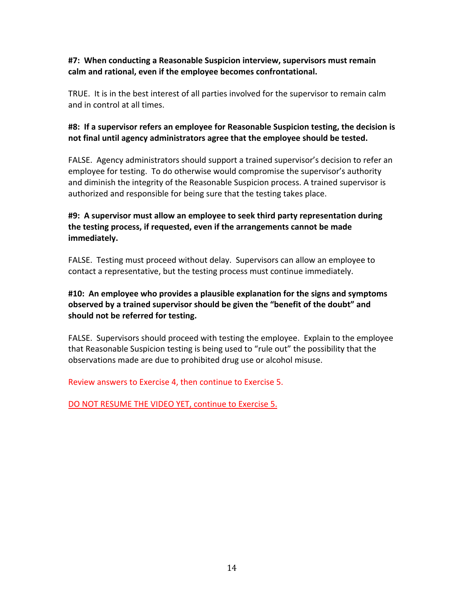#### **#7:))When)conducting)a)Reasonable)Suspicion)interview,)supervisors)must)remain)** calm and rational, even if the employee becomes confrontational.

TRUE. It is in the best interest of all parties involved for the supervisor to remain calm and in control at all times.

#### #8: If a supervisor refers an employee for Reasonable Suspicion testing, the decision is not final until agency administrators agree that the employee should be tested.

FALSE. Agency administrators should support a trained supervisor's decision to refer an employee for testing. To do otherwise would compromise the supervisor's authority and diminish the integrity of the Reasonable Suspicion process. A trained supervisor is authorized and responsible for being sure that the testing takes place.

# #9: A supervisor must allow an employee to seek third party representation during the testing process, if requested, even if the arrangements cannot be made **immediately.**

FALSE. Testing must proceed without delay. Supervisors can allow an employee to contact a representative, but the testing process must continue immediately.

# #10: An employee who provides a plausible explanation for the signs and symptoms observed by a trained supervisor should be given the "benefit of the doubt" and should not be referred for testing.

FALSE. Supervisors should proceed with testing the employee. Explain to the employee that Reasonable Suspicion testing is being used to "rule out" the possibility that the observations made are due to prohibited drug use or alcohol misuse.

Review answers to Exercise 4, then continue to Exercise 5.

DO NOT RESUME THE VIDEO YET, continue to Exercise 5.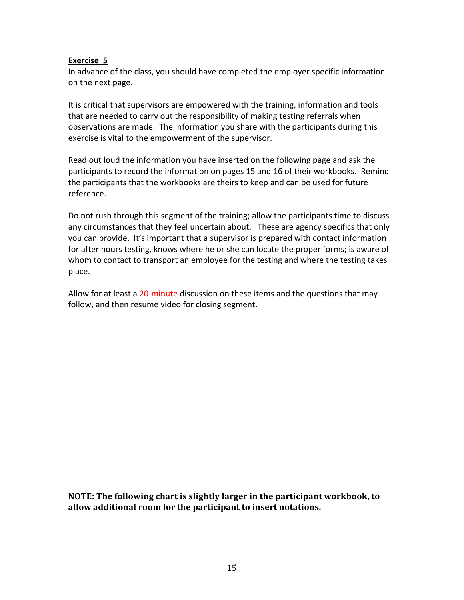In advance of the class, you should have completed the employer specific information on the next page.

It is critical that supervisors are empowered with the training, information and tools that are needed to carry out the responsibility of making testing referrals when observations are made. The information you share with the participants during this exercise is vital to the empowerment of the supervisor.

Read out loud the information you have inserted on the following page and ask the participants to record the information on pages 15 and 16 of their workbooks. Remind the participants that the workbooks are theirs to keep and can be used for future reference.

Do not rush through this segment of the training; allow the participants time to discuss any circumstances that they feel uncertain about. These are agency specifics that only you can provide. It's important that a supervisor is prepared with contact information for after hours testing, knows where he or she can locate the proper forms; is aware of whom to contact to transport an employee for the testing and where the testing takes place.

Allow for at least a 20-minute discussion on these items and the questions that may follow, and then resume video for closing segment.

**NOTE: The following chart is slightly larger in the participant workbook, to** allow additional room for the participant to insert notations.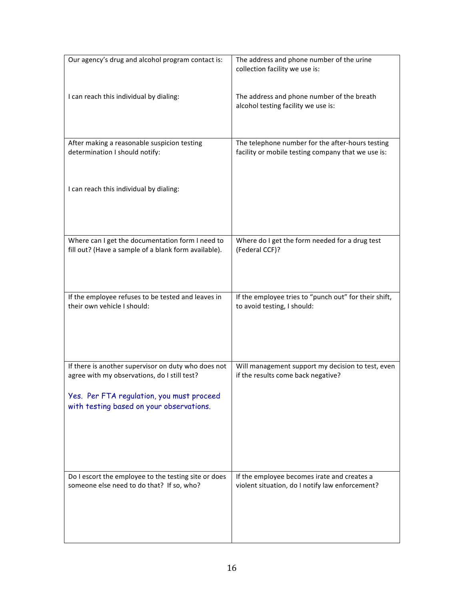| Our agency's drug and alcohol program contact is:                                                        | The address and phone number of the urine<br>collection facility we use is:                            |
|----------------------------------------------------------------------------------------------------------|--------------------------------------------------------------------------------------------------------|
| I can reach this individual by dialing:                                                                  | The address and phone number of the breath<br>alcohol testing facility we use is:                      |
| After making a reasonable suspicion testing<br>determination I should notify:                            | The telephone number for the after-hours testing<br>facility or mobile testing company that we use is: |
|                                                                                                          |                                                                                                        |
| I can reach this individual by dialing:                                                                  |                                                                                                        |
|                                                                                                          |                                                                                                        |
| Where can I get the documentation form I need to<br>fill out? (Have a sample of a blank form available). | Where do I get the form needed for a drug test<br>(Federal CCF)?                                       |
|                                                                                                          |                                                                                                        |
|                                                                                                          |                                                                                                        |
| If the employee refuses to be tested and leaves in<br>their own vehicle I should:                        | If the employee tries to "punch out" for their shift,<br>to avoid testing, I should:                   |
|                                                                                                          |                                                                                                        |
|                                                                                                          |                                                                                                        |
| If there is another supervisor on duty who does not<br>agree with my observations, do I still test?      | Will management support my decision to test, even<br>if the results come back negative?                |
| Yes. Per FTA regulation, you must proceed                                                                |                                                                                                        |
| with testing based on your observations.                                                                 |                                                                                                        |
|                                                                                                          |                                                                                                        |
|                                                                                                          |                                                                                                        |
| Do I escort the employee to the testing site or does<br>someone else need to do that? If so, who?        | If the employee becomes irate and creates a<br>violent situation, do I notify law enforcement?         |
|                                                                                                          |                                                                                                        |
|                                                                                                          |                                                                                                        |
|                                                                                                          |                                                                                                        |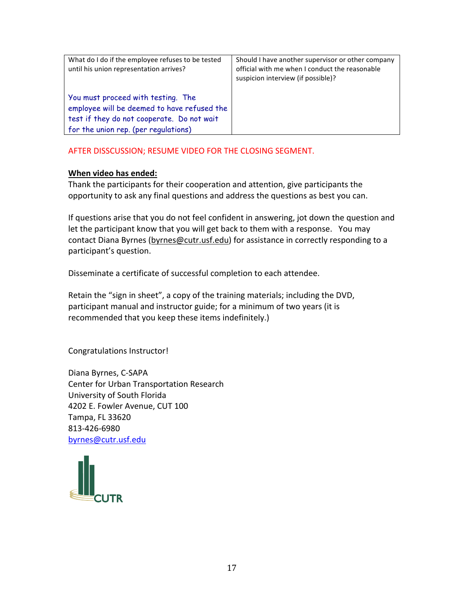| What do I do if the employee refuses to be tested<br>until his union representation arrives?                                                                            | Should I have another supervisor or other company<br>official with me when I conduct the reasonable<br>suspicion interview (if possible)? |
|-------------------------------------------------------------------------------------------------------------------------------------------------------------------------|-------------------------------------------------------------------------------------------------------------------------------------------|
| You must proceed with testing. The<br>employee will be deemed to have refused the<br>test if they do not cooperate. Do not wait<br>for the union rep. (per regulations) |                                                                                                                                           |

#### AFTER DISSCUSSION; RESUME VIDEO FOR THE CLOSING SEGMENT.

#### **When video has ended:**

Thank the participants for their cooperation and attention, give participants the opportunity to ask any final questions and address the questions as best you can.

If questions arise that you do not feel confident in answering, jot down the question and let the participant know that you will get back to them with a response. You may contact Diana Byrnes (byrnes@cutr.usf.edu) for assistance in correctly responding to a participant's question.

Disseminate a certificate of successful completion to each attendee.

Retain the "sign in sheet", a copy of the training materials; including the DVD, participant manual and instructor guide; for a minimum of two years (it is recommended that you keep these items indefinitely.)

Congratulations Instructor!

Diana Byrnes, C-SAPA Center for Urban Transportation Research University of South Florida 4202 E. Fowler Avenue, CUT 100 Tampa, FL 33620 813-426-6980 byrnes@cutr.usf.edu